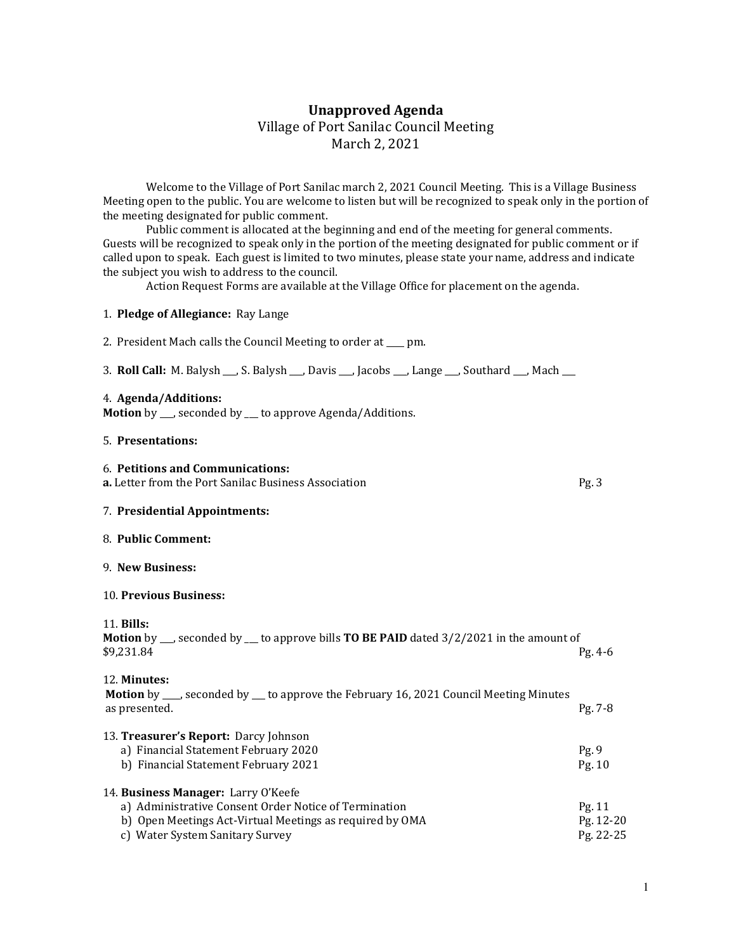# Unapproved Agenda Village of Port Sanilac Council Meeting March 2, 2021

 Welcome to the Village of Port Sanilac march 2, 2021 Council Meeting. This is a Village Business Meeting open to the public. You are welcome to listen but will be recognized to speak only in the portion of the meeting designated for public comment.

 Public comment is allocated at the beginning and end of the meeting for general comments. Guests will be recognized to speak only in the portion of the meeting designated for public comment or if called upon to speak. Each guest is limited to two minutes, please state your name, address and indicate the subject you wish to address to the council.

Action Request Forms are available at the Village Office for placement on the agenda.

#### 1. Pledge of Allegiance: Ray Lange

2. President Mach calls the Council Meeting to order at \_\_\_\_ pm.

3. Roll Call: M. Balysh \_\_\_, S. Balysh \_\_\_, Davis \_\_\_, Jacobs \_\_\_, Lange \_\_\_, Southard \_\_\_, Mach \_\_\_

#### 4. Agenda/Additions:

Motion by \_\_, seconded by \_\_ to approve Agenda/Additions.

#### 5. Presentations:

# 6. Petitions and Communications:

| <b>a.</b> Letter from the Port Sanilac Business Association |  |
|-------------------------------------------------------------|--|
|-------------------------------------------------------------|--|

#### 7. Presidential Appointments:

#### 8. Public Comment:

#### 9. New Business:

#### 10. Previous Business:

| <b>11. Bills:</b><br><b>Motion</b> by $\sim$ , seconded by $\sim$ to approve bills <b>TO BE PAID</b> dated 3/2/2021 in the amount of<br>\$9,231.84                                          | $Pg. 4-6$                        |
|---------------------------------------------------------------------------------------------------------------------------------------------------------------------------------------------|----------------------------------|
| 12. Minutes:<br><b>Motion</b> by ___, seconded by __ to approve the February 16, 2021 Council Meeting Minutes<br>as presented.                                                              | $Pg. 7-8$                        |
| 13. <b>Treasurer's Report:</b> Darcy Johnson<br>a) Financial Statement February 2020<br>b) Financial Statement February 2021                                                                | Pg.9<br>Pg. 10                   |
| 14. Business Manager: Larry O'Keefe<br>a) Administrative Consent Order Notice of Termination<br>b) Open Meetings Act-Virtual Meetings as required by OMA<br>c) Water System Sanitary Survey | Pg. 11<br>Pg. 12-20<br>Pg. 22-25 |